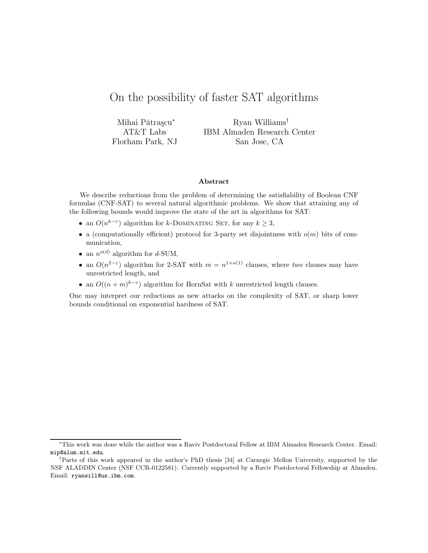# On the possibility of faster SAT algorithms

Mihai Pǎtrașcu\* AT&T Labs Florham Park, NJ

Ryan Williams† IBM Almaden Research Center San Jose, CA

#### Abstract

We describe reductions from the problem of determining the satisfiability of Boolean CNF formulas (CNF-SAT) to several natural algorithmic problems. We show that attaining any of the following bounds would improve the state of the art in algorithms for SAT:

- an  $O(n^{k-\varepsilon})$  algorithm for k-DOMINATING SET, for any  $k \geq 3$ ,
- a (computationally efficient) protocol for 3-party set disjointness with  $o(m)$  bits of communication,
- an  $n^{o(d)}$  algorithm for d-SUM,
- an  $O(n^{2-\epsilon})$  algorithm for 2-SAT with  $m = n^{1+o(1)}$  clauses, where two clauses may have unrestricted length, and
- an  $O((n+m)^{k-\varepsilon})$  algorithm for HornSat with k unrestricted length clauses.

One may interpret our reductions as new attacks on the complexity of SAT, or sharp lower bounds conditional on exponential hardness of SAT.

<sup>∗</sup>This work was done while the author was a Raviv Postdoctoral Fellow at IBM Almaden Research Center. Email: mip@alum.mit.edu.

<sup>†</sup>Parts of this work appeared in the author's PhD thesis [34] at Carnegie Mellon University, supported by the NSF ALADDIN Center (NSF CCR-0122581). Currently supported by a Raviv Postdoctoral Fellowship at Almaden. Email: ryanwill@us.ibm.com.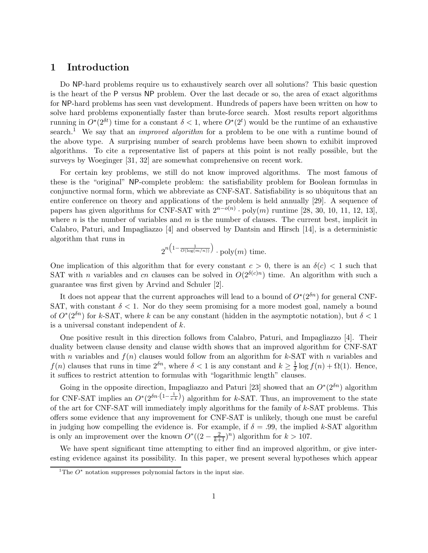## 1 Introduction

Do NP-hard problems require us to exhaustively search over all solutions? This basic question is the heart of the P versus NP problem. Over the last decade or so, the area of exact algorithms for NP-hard problems has seen vast development. Hundreds of papers have been written on how to solve hard problems exponentially faster than brute-force search. Most results report algorithms running in  $O^*(2^{\delta t})$  time for a constant  $\delta < 1$ , where  $O^*(2^t)$  would be the runtime of an exhaustive search.<sup>1</sup> We say that an *improved algorithm* for a problem to be one with a runtime bound of the above type. A surprising number of search problems have been shown to exhibit improved algorithms. To cite a representative list of papers at this point is not really possible, but the surveys by Woeginger [31, 32] are somewhat comprehensive on recent work.

For certain key problems, we still do not know improved algorithms. The most famous of these is the "original" NP-complete problem: the satisfiability problem for Boolean formulas in conjunctive normal form, which we abbreviate as CNF-SAT. Satisfiability is so ubiquitous that an entire conference on theory and applications of the problem is held annually [29]. A sequence of papers has given algorithms for CNF-SAT with  $2^{n-o(n)} \cdot \text{poly}(m)$  runtime [28, 30, 10, 11, 12, 13], where n is the number of variables and  $m$  is the number of clauses. The current best, implicit in Calabro, Paturi, and Impagliazzo [4] and observed by Dantsin and Hirsch [14], is a deterministic algorithm that runs in

$$
2^{n\left(1-\frac{1}{O(\log(m/n))}\right)}
$$
.  $\text{poly}(m)$  time.

One implication of this algorithm that for every constant  $c > 0$ , there is an  $\delta(c) < 1$  such that SAT with *n* variables and cn clauses can be solved in  $O(2^{\delta(c)n})$  time. An algorithm with such a guarantee was first given by Arvind and Schuler [2].

It does not appear that the current approaches will lead to a bound of  $O^{\star}(2^{\delta n})$  for general CNF-SAT, with constant  $\delta$  < 1. Nor do they seem promising for a more modest goal, namely a bound of  $O^*(2^{\delta n})$  for k-SAT, where k can be any constant (hidden in the asymptotic notation), but  $\delta < 1$ is a universal constant independent of k.

One positive result in this direction follows from Calabro, Paturi, and Impagliazzo [4]. Their duality between clause density and clause width shows that an improved algorithm for CNF-SAT with n variables and  $f(n)$  clauses would follow from an algorithm for k-SAT with n variables and  $f(n)$  clauses that runs in time  $2^{\delta n}$ , where  $\delta < 1$  is any constant and  $k \geq \frac{1}{\delta}$  $\frac{1}{\delta} \log f(n) + \Omega(1)$ . Hence, it suffices to restrict attention to formulas with "logarithmic length" clauses.

Going in the opposite direction, Impagliazzo and Paturi [23] showed that an  $O^*(2^{\delta n})$  algorithm for CNF-SAT implies an  $O^*(2^{\delta n \cdot (1-\frac{1}{e \cdot k})})$  algorithm for k-SAT. Thus, an improvement to the state of the art for CNF-SAT will immediately imply algorithms for the family of k-SAT problems. This offers some evidence that any improvement for CNF-SAT is unlikely, though one must be careful in judging how compelling the evidence is. For example, if  $\delta = .99$ , the implied k-SAT algorithm is only an improvement over the known  $O^*((2 - \frac{2}{k+1})^n)$  algorithm for  $k > 107$ .

We have spent significant time attempting to either find an improved algorithm, or give interesting evidence against its possibility. In this paper, we present several hypotheses which appear

<sup>&</sup>lt;sup>1</sup>The  $O^*$  notation suppresses polynomial factors in the input size.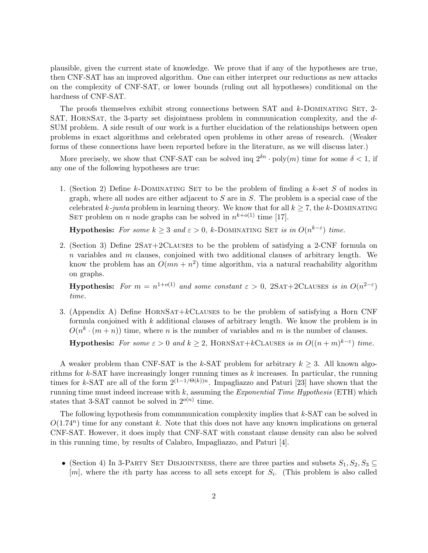plausible, given the current state of knowledge. We prove that if any of the hypotheses are true, then CNF-SAT has an improved algorithm. One can either interpret our reductions as new attacks on the complexity of CNF-SAT, or lower bounds (ruling out all hypotheses) conditional on the hardness of CNF-SAT.

The proofs themselves exhibit strong connections between SAT and k-DOMINATING SET, 2-SAT, HORNSAT, the 3-party set disjointness problem in communication complexity, and the d-SUM problem. A side result of our work is a further elucidation of the relationships between open problems in exact algorithms and celebrated open problems in other areas of research. (Weaker forms of these connections have been reported before in the literature, as we will discuss later.)

More precisely, we show that CNF-SAT can be solved inq  $2^{\delta n} \cdot \text{poly}(m)$  time for some  $\delta < 1$ , if any one of the following hypotheses are true:

1. (Section 2) Define k-DOMINATING SET to be the problem of finding a k-set S of nodes in graph, where all nodes are either adjacent to  $S$  are in  $S$ . The problem is a special case of the celebrated k-junta problem in learning theory. We know that for all  $k \geq 7$ , the k-DOMINATING SET problem on *n* node graphs can be solved in  $n^{k+o(1)}$  time [17].

**Hypothesis:** For some  $k \geq 3$  and  $\varepsilon > 0$ , k-DOMINATING SET is in  $O(n^{k-\varepsilon})$  time.

2. (Section 3) Define  $2SAT+2CLAUSES$  to be the problem of satisfying a 2-CNF formula on  $n$  variables and  $m$  clauses, conjoined with two additional clauses of arbitrary length. We know the problem has an  $O(mn + n^2)$  time algorithm, via a natural reachability algorithm on graphs.

**Hypothesis:** For  $m = n^{1+o(1)}$  and some constant  $\varepsilon > 0$ , 2SAT+2CLAUSES is in  $O(n^{2-\varepsilon})$ time.

3. (Appendix A) Define HORNSAT+ $k$ CLAUSES to be the problem of satisfying a Horn CNF formula conjoined with  $k$  additional clauses of arbitrary length. We know the problem is in  $O(n^k \cdot (m+n))$  time, where *n* is the number of variables and *m* is the number of clauses.

**Hypothesis:** For some  $\varepsilon > 0$  and  $k \geq 2$ , HORNSAT+ $k$ CLAUSES is in  $O((n+m)^{k-\varepsilon})$  time.

A weaker problem than CNF-SAT is the k-SAT problem for arbitrary  $k \geq 3$ . All known algorithms for k-SAT have increasingly longer running times as  $k$  increases. In particular, the running times for k-SAT are all of the form  $2^{(1-1/\Theta(k))n}$ . Impagliazzo and Paturi [23] have shown that the running time must indeed increase with  $k$ , assuming the *Exponential Time Hypothesis* (ETH) which states that 3-SAT cannot be solved in  $2^{o(n)}$  time.

The following hypothesis from commmunication complexity implies that  $k$ -SAT can be solved in  $O(1.74^n)$  time for any constant k. Note that this does not have any known implications on general CNF-SAT. However, it does imply that CNF-SAT with constant clause density can also be solved in this running time, by results of Calabro, Impagliazzo, and Paturi [4].

• (Section 4) In 3-PARTY SET DISJOINTNESS, there are three parties and subsets  $S_1, S_2, S_3 \subseteq$  $[m]$ , where the *i*th party has access to all sets except for  $S_i$ . (This problem is also called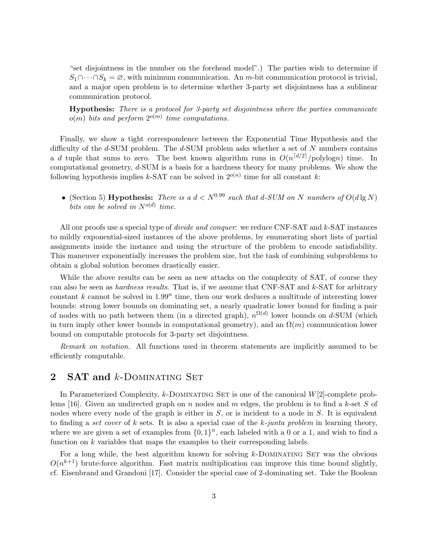"set disjointness in the number on the forehead model".) The parties wish to determine if  $S_1 \cap \cdots \cap S_k = \emptyset$ , with minimum communication. An m-bit communication protocol is trivial, and a major open problem is to determine whether 3-party set disjointness has a sublinear communication protocol.

Hypothesis: There is a protocol for 3-party set disjointness where the parties communicate  $o(m)$  bits and perform  $2^{o(m)}$  time computations.

Finally, we show a tight correspondence between the Exponential Time Hypothesis and the difficulty of the  $d$ -SUM problem. The  $d$ -SUM problem asks whether a set of  $N$  numbers contains a d tuple that sums to zero. The best known algorithm runs in  $O(n^{\lceil d/2 \rceil}/\text{polylog} n)$  time. In computational geometry,  $d$ -SUM is a basis for a hardness theory for many problems. We show the following hypothesis implies k-SAT can be solved in  $2^{o(n)}$  time for all constant k:

• (Section 5) Hypothesis: There is a  $d < N^{0.99}$  such that d-SUM on N numbers of  $O(d \lg N)$ bits can be solved in  $N^{o(d)}$  time.

All our proofs use a special type of *divide and conquer*: we reduce CNF-SAT and k-SAT instances to mildly exponential-sized instances of the above problems, by enumerating short lists of partial assignments inside the instance and using the structure of the problem to encode satisfiability. This maneuver exponentially increases the problem size, but the task of combining subproblems to obtain a global solution becomes drastically easier.

While the above results can be seen as new attacks on the complexity of SAT, of course they can also be seen as *hardness results*. That is, if we assume that CNF-SAT and k-SAT for arbitrary constant  $k$  cannot be solved in 1.99<sup>n</sup> time, then our work deduces a multitude of interesting lower bounds: strong lower bounds on dominating set, a nearly quadratic lower bound for finding a pair of nodes with no path between them (in a directed graph),  $n^{\Omega(d)}$  lower bounds on d-SUM (which in turn imply other lower bounds in computational geometry), and an  $\Omega(m)$  communication lower bound on computable protocols for 3-party set disjointness.

Remark on notation. All functions used in theorem statements are implicitly assumed to be efficiently computable.

## 2 **SAT and k-DOMINATING SET**

In Parameterized Complexity,  $k$ -DOMINATING SET is one of the canonical  $W[2]$ -complete problems [16]. Given an undirected graph on n nodes and m edges, the problem is to find a k-set S of nodes where every node of the graph is either in  $S$ , or is incident to a node in  $S$ . It is equivalent to finding a set cover of  $k$  sets. It is also a special case of the  $k$ -junta problem in learning theory, where we are given a set of examples from  $\{0,1\}^n$ , each labeled with a 0 or a 1, and wish to find a function on k variables that maps the examples to their corresponding labels.

For a long while, the best algorithm known for solving  $k$ -DOMINATING SET was the obvious  $O(n^{k+1})$  brute-force algorithm. Fast matrix multiplication can improve this time bound slightly, cf. Eisenbrand and Grandoni [17]. Consider the special case of 2-dominating set. Take the Boolean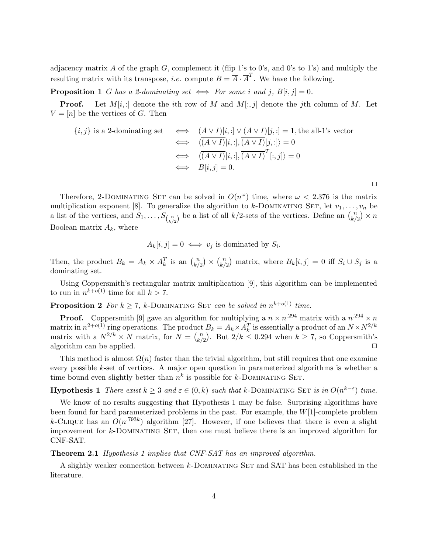adjacency matrix A of the graph  $G$ , complement it (flip 1's to 0's, and 0's to 1's) and multiply the resulting matrix with its transpose, *i.e.* compute  $B = \overline{A} \cdot \overline{A}^T$ . We have the following.

**Proposition 1** G has a 2-dominating set  $\iff$  For some i and j,  $B[i, j] = 0$ .

**Proof.** Let  $M[i, :]$  denote the *i*th row of M and  $M[:, j]$  denote the *j*th column of M. Let  $V = [n]$  be the vertices of G. Then

$$
\{i, j\} \text{ is a 2-dominating set} \iff \begin{array}{c} (A \lor I)[i, :] \lor (A \lor I)[j, :] = \mathbf{1}, \text{the all-1's vector} \\ \iff \langle \overline{(A \lor I)}[i, :] , \overline{(A \lor I)}[j, :] \rangle = 0 \\ \iff \langle \overline{(A \lor I)}[i, :] , \overline{(A \lor I)}^T[:, j] \rangle = 0 \\ \iff B[i, j] = 0. \end{array}
$$

 $\Box$ 

Therefore, 2-DOMINATING SET can be solved in  $O(n^{\omega})$  time, where  $\omega < 2.376$  is the matrix multiplication exponent [8]. To generalize the algorithm to k-DOMINATING SET, let  $v_1, \ldots, v_n$  be a list of the vertices, and  $S_1, \ldots, S_{\binom{n}{k/2}}$  be a list of all  $k/2$ -sets of the vertices. Define an  $\binom{n}{k/2}$  $\binom{n}{k/2} \times n$ Boolean matrix  $A_k$ , where

$$
A_k[i,j] = 0 \iff v_j \text{ is dominated by } S_i.
$$

Then, the product  $B_k = A_k \times A_k^T$  is an  $\binom{n}{k'}$  $\binom{n}{k/2}$   $\times$   $\binom{n}{k/2}$  $\binom{n}{k/2}$  matrix, where  $B_k[i,j] = 0$  iff  $S_i \cup S_j$  is a dominating set.

Using Coppersmith's rectangular matrix multiplication [9], this algorithm can be implemented to run in  $n^{k+o(1)}$  time for all  $k > 7$ .

**Proposition 2** For  $k \ge 7$ , k-DOMINATING SET can be solved in  $n^{k+o(1)}$  time.

**Proof.** Coppersmith [9] gave an algorithm for multiplying a  $n \times n^{294}$  matrix with a  $n^{294} \times n^{294}$ matrix in  $n^{2+o(1)}$  ring operations. The product  $B_k = A_k \times A_k^T$  is essentially a product of an  $N \times N^{2/k}$ matrix with a  $N^{2/k} \times N$  matrix, for  $N = \binom{n}{k}$  $\binom{n}{k/2}$ . But  $2/k \leq 0.294$  when  $k \geq 7$ , so Coppersmith's algorithm can be applied.  $\Box$ 

This method is almost  $\Omega(n)$  faster than the trivial algorithm, but still requires that one examine every possible k-set of vertices. A major open question in parameterized algorithms is whether a time bound even slightly better than  $n^k$  is possible for k-DOMINATING SET.

**Hypothesis 1** There exist  $k \geq 3$  and  $\varepsilon \in (0, k)$  such that k-DOMINATING SET is in  $O(n^{k-\varepsilon})$  time.

We know of no results suggesting that Hypothesis 1 may be false. Surprising algorithms have been found for hard parameterized problems in the past. For example, the W[1]-complete problem k-CLIQUE has an  $O(n^{.793k})$  algorithm [27]. However, if one believes that there is even a slight improvement for  $k$ -DOMINATING SET, then one must believe there is an improved algorithm for CNF-SAT.

#### Theorem 2.1 Hypothesis 1 implies that CNF-SAT has an improved algorithm.

A slightly weaker connection between k-Dominating Set and SAT has been established in the literature.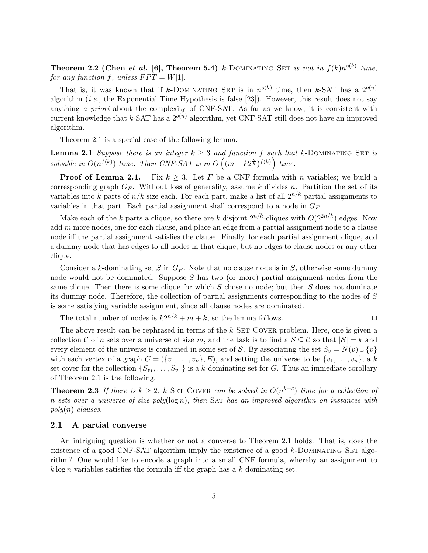Theorem 2.2 (Chen et al. [6], Theorem 5.4) k-DOMINATING SET is not in  $f(k)n^{o(k)}$  time, for any function f, unless  $FPT = W[1]$ .

That is, it was known that if k-DOMINATING SET is in  $n^{o(k)}$  time, then k-SAT has a  $2^{o(n)}$ algorithm  $(i.e.,$  the Exponential Time Hypothesis is false [23]). However, this result does not say anything a priori about the complexity of CNF-SAT. As far as we know, it is consistent with current knowledge that k-SAT has a  $2^{o(n)}$  algorithm, yet CNF-SAT still does not have an improved algorithm.

Theorem 2.1 is a special case of the following lemma.

**Lemma 2.1** Suppose there is an integer  $k \geq 3$  and function f such that k-DOMINATING SET is solvable in  $O(n^{f(k)})$  time. Then CNF-SAT is in  $O(n + k2^{\frac{n}{k}})^{f(k)}$  time.

**Proof of Lemma 2.1.** Fix  $k \geq 3$ . Let F be a CNF formula with n variables; we build a corresponding graph  $G_F$ . Without loss of generality, assume k divides n. Partition the set of its variables into k parts of  $n/k$  size each. For each part, make a list of all  $2^{n/k}$  partial assignments to variables in that part. Each partial assignment shall correspond to a node in  $G_F$ .

Make each of the k parts a clique, so there are k disjoint  $2^{n/k}$ -cliques with  $O(2^{2n/k})$  edges. Now add  $m$  more nodes, one for each clause, and place an edge from a partial assignment node to a clause node iff the partial assignment satisfies the clause. Finally, for each partial assignment clique, add a dummy node that has edges to all nodes in that clique, but no edges to clause nodes or any other clique.

Consider a k-dominating set S in  $G_F$ . Note that no clause node is in S, otherwise some dummy node would not be dominated. Suppose S has two (or more) partial assignment nodes from the same clique. Then there is some clique for which  $S$  chose no node; but then  $S$  does not dominate its dummy node. Therefore, the collection of partial assignments corresponding to the nodes of S is some satisfying variable assignment, since all clause nodes are dominated.

The total number of nodes is  $k2^{n/k} + m + k$ , so the lemma follows.

The above result can be rephrased in terms of the  $k$  SET COVER problem. Here, one is given a collection C of n sets over a universe of size m, and the task is to find a  $S \subseteq \mathcal{C}$  so that  $|S| = k$  and every element of the universe is contained in some set of S. By associating the set  $S_v = N(v) \cup \{v\}$ with each vertex of a graph  $G = (\{v_1, \ldots, v_n\}, E)$ , and setting the universe to be  $\{v_1, \ldots, v_n\}$ , a k set cover for the collection  $\{S_{v_1}, \ldots, S_{v_n}\}$  is a k-dominating set for G. Thus an immediate corollary of Theorem 2.1 is the following.

**Theorem 2.3** If there is  $k \geq 2$ , k SET COVER can be solved in  $O(n^{k-\epsilon})$  time for a collection of n sets over a universe of size  $poly(log n)$ , then SAT has an improved algorithm on instances with  $poly(n)$  clauses.

#### 2.1 A partial converse

An intriguing question is whether or not a converse to Theorem 2.1 holds. That is, does the existence of a good CNF-SAT algorithm imply the existence of a good  $k$ -DOMINATING SET algorithm? One would like to encode a graph into a small CNF formula, whereby an assignment to  $k \log n$  variables satisfies the formula iff the graph has a k dominating set.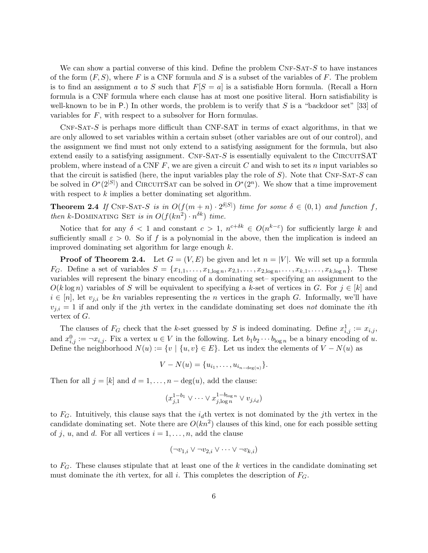We can show a partial converse of this kind. Define the problem  $CNF-SAT-S$  to have instances of the form  $(F, S)$ , where F is a CNF formula and S is a subset of the variables of F. The problem is to find an assignment a to S such that  $F[S = a]$  is a satisfiable Horn formula. (Recall a Horn formula is a CNF formula where each clause has at most one positive literal. Horn satisfiability is well-known to be in P.) In other words, the problem is to verify that S is a "backdoor set" [33] of variables for F, with respect to a subsolver for Horn formulas.

 $CNF-SAT-S$  is perhaps more difficult than  $CNF-SAT$  in terms of exact algorithms, in that we are only allowed to set variables within a certain subset (other variables are out of our control), and the assignment we find must not only extend to a satisfying assignment for the formula, but also extend easily to a satisfying assignment.  $CNF-SAT-S$  is essentially equivalent to the CIRCUITSAT problem, where instead of a CNF  $F$ , we are given a circuit  $C$  and wish to set its  $n$  input variables so that the circuit is satisfied (here, the input variables play the role of  $S$ ). Note that CNF-SAT-S can be solved in  $O^*(2^{|S|})$  and CIRCUITSAT can be solved in  $O^*(2^n)$ . We show that a time improvement with respect to k implies a better dominating set algorithm.

**Theorem 2.4** If CNF-SAT-S is in  $O(f(m+n) \cdot 2^{\delta|S|})$  time for some  $\delta \in (0,1)$  and function f, then k-DOMINATING SET is in  $O(f(kn^2) \cdot n^{\delta k})$  time.

Notice that for any  $\delta < 1$  and constant  $c > 1$ ,  $n^{c+\delta k} \in O(n^{k-\epsilon})$  for sufficiently large k and sufficiently small  $\varepsilon > 0$ . So if f is a polynomial in the above, then the implication is indeed an improved dominating set algorithm for large enough k.

**Proof of Theorem 2.4.** Let  $G = (V, E)$  be given and let  $n = |V|$ . We will set up a formula  $F_G$ . Define a set of variables  $S = \{x_{1,1}, \ldots, x_{1,\log n}, x_{2,1}, \ldots, x_{2,\log n}, \ldots, x_{k,1}, \ldots, x_{k,\log n}\}.$  These variables will represent the binary encoding of a dominating set– specifying an assignment to the  $O(k \log n)$  variables of S will be equivalent to specifying a k-set of vertices in G. For  $j \in [k]$  and  $i \in [n]$ , let  $v_{j,i}$  be kn variables representing the n vertices in the graph G. Informally, we'll have  $v_{j,i} = 1$  if and only if the jth vertex in the candidate dominating set does not dominate the *i*th vertex of G.

The clauses of  $F_G$  check that the k-set guessed by S is indeed dominating. Define  $x_{i,j}^1 := x_{i,j}$ , and  $x_{i,j}^0 := \neg x_{i,j}$ . Fix a vertex  $u \in V$  in the following. Let  $b_1 b_2 \cdots b_{\log n}$  be a binary encoding of u. Define the neighborhood  $N(u) := \{v \mid \{u, v\} \in E\}$ . Let us index the elements of  $V - N(u)$  as

$$
V - N(u) = \{u_{i_1}, \dots, u_{i_{n-\deg(u)}}\}.
$$

Then for all  $j = [k]$  and  $d = 1, \ldots, n - \deg(u)$ , add the clause:

$$
(x_{j,1}^{1-b_1} \vee \cdots \vee x_{j,\log n}^{1-b_{\log n}} \vee v_{j,i_d})
$$

to  $F_G$ . Intuitively, this clause says that the  $i_d$ th vertex is not dominated by the jth vertex in the candidate dominating set. Note there are  $O(kn^2)$  clauses of this kind, one for each possible setting of j, u, and d. For all vertices  $i = 1, \ldots, n$ , add the clause

$$
(\neg v_{1,i} \lor \neg v_{2,i} \lor \cdots \lor \neg v_{k,i})
$$

to  $F_G$ . These clauses stipulate that at least one of the k vertices in the candidate dominating set must dominate the *i*th vertex, for all *i*. This completes the description of  $F<sub>G</sub>$ .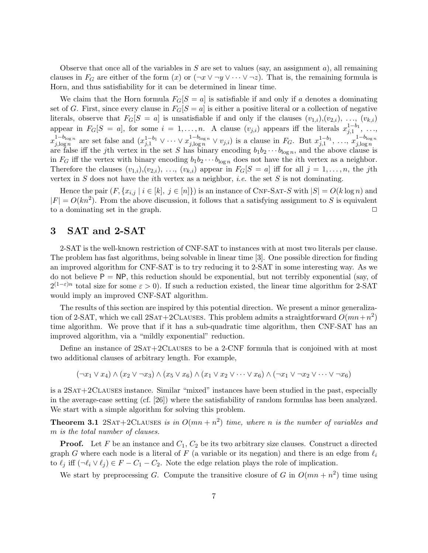Observe that once all of the variables in  $S$  are set to values (say, an assignment  $a$ ), all remaining clauses in  $F_G$  are either of the form  $(x)$  or  $(\neg x \lor \neg y \lor \cdots \lor \neg z)$ . That is, the remaining formula is Horn, and thus satisfiability for it can be determined in linear time.

We claim that the Horn formula  $F_G[S = a]$  is satisfiable if and only if a denotes a dominating set of G. First, since every clause in  $F_G[S = a]$  is either a positive literal or a collection of negative literals, observe that  $F_G[S = a]$  is unsatisfiable if and only if the clauses  $(v_{1,i}), (v_{2,i}), \ldots, (v_{k,i})$ appear in  $F_G[S = a]$ , for some  $i = 1, ..., n$ . A clause  $(v_{j,i})$  appears iff the literals  $x_{j,1}^{1-b_1}, ...,$  $x_{j,\log n}^{1-b_{\log n}}$  are set false and  $(x_{j,1}^{1-b_1} \vee \cdots \vee x_{j,\log n}^{1-b_{\log n}} \vee v_{j,i})$  is a clause in  $F_G$ . But  $x_{j,1}^{1-b_1}, \ldots, x_{j,\log n}^{1-b_{\log n}}$ <br>are false iff the *j*th vertex in the set *S* has binary encoding  $b_1b_2 \cdots b_{\$ in  $F_G$  iff the vertex with binary encoding  $b_1b_2 \cdots b_{\log n}$  does not have the *i*th vertex as a neighbor. Therefore the clauses  $(v_{1,i}), (v_{2,i}), \ldots, (v_{k,i})$  appear in  $F_G[S = a]$  iff for all  $j = 1, \ldots, n$ , the jth vertex in S does not have the *i*th vertex as a neighbor, *i.e.* the set S is not dominating.

Hence the pair  $(F, \{x_{i,j} | i \in [k], j \in [n]\})$  is an instance of CNF-SAT-S with  $|S| = O(k \log n)$  and  $|F| = O(kn^2)$ . From the above discussion, it follows that a satisfying assignment to S is equivalent to a dominating set in the graph.  $\Box$ 

## 3 SAT and 2-SAT

2-SAT is the well-known restriction of CNF-SAT to instances with at most two literals per clause. The problem has fast algorithms, being solvable in linear time [3]. One possible direction for finding an improved algorithm for CNF-SAT is to try reducing it to 2-SAT in some interesting way. As we do not believe  $P = NP$ , this reduction should be exponential, but not terribly exponential (say, of  $2^{(1-\varepsilon)n}$  total size for some  $\varepsilon > 0$ ). If such a reduction existed, the linear time algorithm for 2-SAT would imply an improved CNF-SAT algorithm.

The results of this section are inspired by this potential direction. We present a minor generalization of 2-SAT, which we call  $2SAT+2CLAUSES$ . This problem admits a straightforward  $O(mn+n^2)$ time algorithm. We prove that if it has a sub-quadratic time algorithm, then CNF-SAT has an improved algorithm, via a "mildly exponential" reduction.

Define an instance of  $2SAT+2CLAUSES$  to be a 2-CNF formula that is conjoined with at most two additional clauses of arbitrary length. For example,

$$
(\neg x_1 \lor x_4) \land (x_2 \lor \neg x_3) \land (x_5 \lor x_6) \land (x_1 \lor x_2 \lor \dots \lor x_6) \land (\neg x_1 \lor \neg x_2 \lor \dots \lor \neg x_6)
$$

is a 2Sat+2Clauses instance. Similar "mixed" instances have been studied in the past, especially in the average-case setting (cf. [26]) where the satisfiability of random formulas has been analyzed. We start with a simple algorithm for solving this problem.

**Theorem 3.1** 2SAT+2CLAUSES is in  $O(mn + n^2)$  time, where n is the number of variables and m is the total number of clauses.

**Proof.** Let F be an instance and  $C_1$ ,  $C_2$  be its two arbitrary size clauses. Construct a directed graph G where each node is a literal of F (a variable or its negation) and there is an edge from  $\ell_i$ to  $\ell_j$  iff  $(\neg \ell_i \lor \ell_j) \in F - C_1 - C_2$ . Note the edge relation plays the role of implication.

We start by preprocessing G. Compute the transitive closure of G in  $O(mn + n^2)$  time using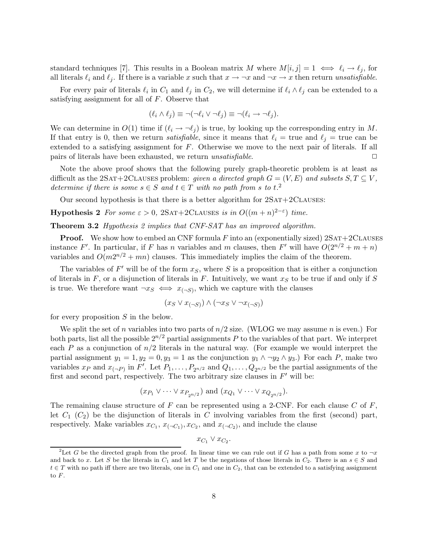standard techniques [7]. This results in a Boolean matrix M where  $M[i, j] = 1 \iff \ell_i \to \ell_j$ , for all literals  $\ell_i$  and  $\ell_j$ . If there is a variable x such that  $x \to \neg x$  and  $\neg x \to x$  then return unsatisfiable.

For every pair of literals  $\ell_i$  in  $C_1$  and  $\ell_j$  in  $C_2$ , we will determine if  $\ell_i \wedge \ell_j$  can be extended to a satisfying assignment for all of  $F$ . Observe that

$$
(\ell_i \wedge \ell_j) \equiv \neg(\neg \ell_i \vee \neg \ell_j) \equiv \neg(\ell_i \rightarrow \neg \ell_j).
$$

We can determine in  $O(1)$  time if  $(\ell_i \to \neg \ell_j)$  is true, by looking up the corresponding entry in M. If that entry is 0, then we return *satisfiable*, since it means that  $\ell_i$  = true and  $\ell_j$  = true can be extended to a satisfying assignment for F. Otherwise we move to the next pair of literals. If all pairs of literals have been exhausted, we return *unsatisfiable*.

Note the above proof shows that the following purely graph-theoretic problem is at least as difficult as the 2SAT+2CLAUSES problem: given a directed graph  $G = (V, E)$  and subsets  $S, T \subseteq V$ , determine if there is some  $s \in S$  and  $t \in T$  with no path from s to  $t$ .<sup>2</sup>

Our second hypothesis is that there is a better algorithm for  $2SAT+2CLAUSES$ :

**Hypothesis 2** For some  $\varepsilon > 0$ , 2SAT+2CLAUSES is in  $O((m+n)^{2-\varepsilon})$  time.

**Theorem 3.2** Hypothesis 2 implies that CNF-SAT has an improved algorithm.

**Proof.** We show how to embed an CNF formula  $F$  into an (exponentially sized)  $2SAT+2CLAUSES$ instance F'. In particular, if F has n variables and m clauses, then F' will have  $O(2^{n/2} + m + n)$ variables and  $O(m2^{n/2} + mn)$  clauses. This immediately implies the claim of the theorem.

The variables of  $F'$  will be of the form  $x_S$ , where S is a proposition that is either a conjunction of literals in  $F$ , or a disjunction of literals in  $F$ . Intuitively, we want  $x<sub>S</sub>$  to be true if and only if  $S$ is true. We therefore want  $\neg x_S \iff x_{(\neg S)}$ , which we capture with the clauses

$$
(x_S \vee x_{(\neg S)}) \wedge (\neg x_S \vee \neg x_{(\neg S)})
$$

for every proposition  $S$  in the below.

We split the set of n variables into two parts of  $n/2$  size. (WLOG we may assume n is even.) For both parts, list all the possible  $2^{n/2}$  partial assignments P to the variables of that part. We interpret each P as a conjunction of  $n/2$  literals in the natural way. (For example we would interpret the partial assignment  $y_1 = 1, y_2 = 0, y_3 = 1$  as the conjunction  $y_1 \wedge \neg y_2 \wedge y_3$ .) For each P, make two variables  $x_P$  and  $x_{(-P)}$  in F'. Let  $P_1, \ldots, P_{2n/2}$  and  $Q_1, \ldots, Q_{2n/2}$  be the partial assignments of the first and second part, respectively. The two arbitrary size clauses in  $F'$  will be:

$$
(x_{P_1} \vee \cdots \vee x_{P_{2n/2}})
$$
 and  $(x_{Q_1} \vee \cdots \vee x_{Q_{2n/2}}).$ 

The remaining clause structure of F can be represented using a 2-CNF. For each clause C of F, let  $C_1$   $(C_2)$  be the disjunction of literals in C involving variables from the first (second) part, respectively. Make variables  $x_{C_1}, x_{(-C_1)}, x_{C_2}$ , and  $x_{(-C_2)}$ , and include the clause

 $x_{C_1} \vee x_{C_2}$ .

<sup>&</sup>lt;sup>2</sup>Let G be the directed graph from the proof. In linear time we can rule out if G has a path from some x to  $\neg x$ and back to x. Let S be the literals in  $C_1$  and let T be the negations of those literals in  $C_2$ . There is an  $s \in S$  and  $t \in T$  with no path iff there are two literals, one in  $C_1$  and one in  $C_2$ , that can be extended to a satisfying assignment to F.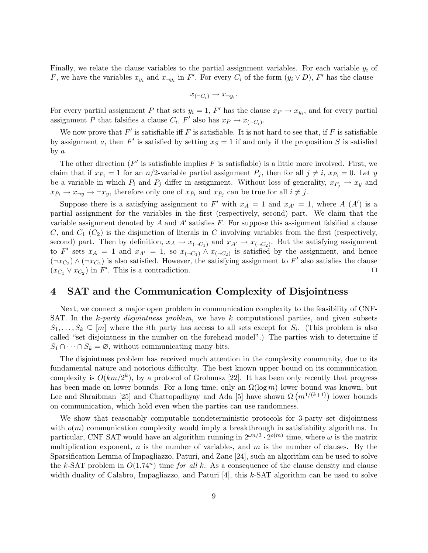Finally, we relate the clause variables to the partial assignment variables. For each variable  $y_i$  of F, we have the variables  $x_{y_i}$  and  $x_{\neg y_i}$  in F'. For every  $C_i$  of the form  $(y_i \vee D)$ , F' has the clause

$$
x_{(\neg C_i)} \rightarrow x_{\neg y_i}.
$$

For every partial assignment P that sets  $y_i = 1$ , F' has the clause  $x_P \to x_{y_i}$ , and for every partial assignment P that falsifies a clause  $C_i$ ,  $F'$  also has  $x_P \to x_{(\neg C_i)}$ .

We now prove that  $F'$  is satisfiable iff F is satisfiable. It is not hard to see that, if F is satisfiable by assignment a, then  $F'$  is satisfied by setting  $x_S = 1$  if and only if the proposition S is satisfied by a.

The other direction ( $F'$  is satisfiable implies  $F$  is satisfiable) is a little more involved. First, we claim that if  $x_{P_i} = 1$  for an  $n/2$ -variable partial assignment  $P_i$ , then for all  $j \neq i$ ,  $x_{P_i} = 0$ . Let y be a variable in which  $P_i$  and  $P_j$  differ in assignment. Without loss of generality,  $x_{P_j} \to x_y$  and  $x_{P_i} \rightarrow x_{\neg y} \rightarrow \neg x_y$ , therefore only one of  $x_{P_i}$  and  $x_{P_j}$  can be true for all  $i \neq j$ .

Suppose there is a satisfying assignment to F' with  $x_A = 1$  and  $x_{A'} = 1$ , where A  $(A')$  is a partial assignment for the variables in the first (respectively, second) part. We claim that the variable assignment denoted by A and A' satisfies F. For suppose this assignment falsified a clause C, and  $C_1$   $(C_2)$  is the disjunction of literals in C involving variables from the first (respectively, second) part. Then by definition,  $x_A \to x_{(-C_1)}$  and  $x_{A'} \to x_{(-C_2)}$ . But the satisfying assignment to F' sets  $x_A = 1$  and  $x_{A'} = 1$ , so  $x_{(-C_1)} \wedge x_{(-C_2)}$  is satisfied by the assignment, and hence  $(\neg x_{C_2}) \wedge (\neg x_{C_2})$  is also satisfied. However, the satisfying assignment to F' also satisfies the clause  $(x_{C_1} \vee x_{C_2})$  in  $F'$ . This is a contradiction.

## 4 SAT and the Communication Complexity of Disjointness

Next, we connect a major open problem in communication complexity to the feasibility of CNF-SAT. In the  $k$ -party disjointness problem, we have k computational parties, and given subsets  $S_1, \ldots, S_k \subseteq [m]$  where the *i*th party has access to all sets except for  $S_i$ . (This problem is also called "set disjointness in the number on the forehead model".) The parties wish to determine if  $S_1 \cap \cdots \cap S_k = \emptyset$ , without communicating many bits.

The disjointness problem has received much attention in the complexity community, due to its fundamental nature and notorious difficulty. The best known upper bound on its communication complexity is  $O(km/2^k)$ , by a protocol of Grolmusz [22]. It has been only recently that progress has been made on lower bounds. For a long time, only an  $\Omega(\log m)$  lower bound was known, but Lee and Shraibman [25] and Chattopadhyay and Ada [5] have shown  $\Omega(m^{1/(k+1)})$  lower bounds on communication, which hold even when the parties can use randomness.

We show that reasonably computable nondeterministic protocols for 3-party set disjointness with  $o(m)$  communication complexity would imply a breakthrough in satisfiability algorithms. In particular, CNF SAT would have an algorithm running in  $2^{\omega n/3} \cdot 2^{o(m)}$  time, where  $\omega$  is the matrix multiplication exponent, n is the number of variables, and  $m$  is the number of clauses. By the Sparsification Lemma of Impagliazzo, Paturi, and Zane [24], such an algorithm can be used to solve the k-SAT problem in  $O(1.74^n)$  time for all k. As a consequence of the clause density and clause width duality of Calabro, Impagliazzo, and Paturi  $[4]$ , this k-SAT algorithm can be used to solve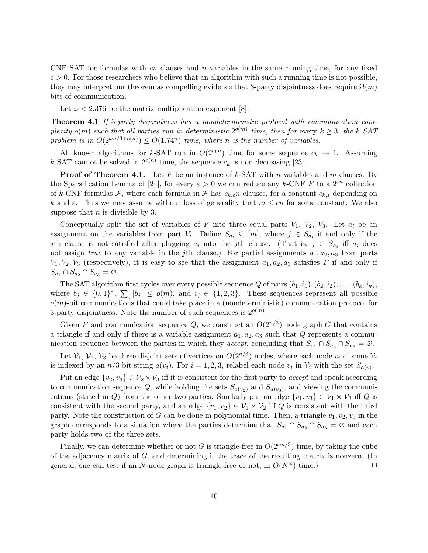CNF SAT for formulas with cn clauses and  $n$  variables in the same running time, for any fixed  $c > 0$ . For those researchers who believe that an algorithm with such a running time is not possible, they may interpret our theorem as compelling evidence that 3-party disjointness does require  $\Omega(m)$ bits of communication.

Let  $\omega < 2.376$  be the matrix multiplication exponent [8].

Theorem 4.1 If 3-party disjointness has a nondeterministic protocol with communication complexity  $o(m)$  such that all parties run in deterministic  $2^{o(m)}$  time, then for every  $k \geq 3$ , the k-SAT problem is in  $O(2^{\omega n/3 + o(n)}) \leq O(1.74^n)$  time, where n is the number of variables.

All known algorithms for k-SAT run in  $O(2^{c_k n})$  time for some sequence  $c_k \to 1$ . Assuming k-SAT cannot be solved in  $2^{o(n)}$  time, the sequence  $c_k$  is non-decreasing [23].

**Proof of Theorem 4.1.** Let F be an instance of k-SAT with n variables and m clauses. By the Sparsification Lemma of [24], for every  $\varepsilon > 0$  we can reduce any k-CNF F to a  $2^{\varepsilon n}$  collection of k-CNF formulas F, where each formula in F has  $c_{k,\varepsilon}$  clauses, for a constant  $c_{k,\varepsilon}$  depending on k and  $\varepsilon$ . Thus we may assume without loss of generality that  $m \leq cn$  for some constant. We also suppose that  $n$  is divisible by 3.

Conceptually split the set of variables of F into three equal parts  $V_1$ ,  $V_2$ ,  $V_3$ . Let  $a_i$  be an assignment on the variables from part  $V_i$ . Define  $S_{a_i} \subseteq [m]$ , where  $j \in S_{a_i}$  if and only if the jth clause is not satisfied after plugging  $a_i$  into the jth clause. (That is,  $j \in S_{a_i}$  iff  $a_i$  does not assign true to any variable in the jth clause.) For partial assignments  $a_1, a_2, a_3$  from parts  $V_1, V_2, V_3$  (respectively), it is easy to see that the assignment  $a_1, a_2, a_3$  satisfies F if and only if  $S_{a_1} \cap S_{a_2} \cap S_{a_3} = \varnothing.$ 

The SAT algorithm first cycles over every possible sequence Q of pairs  $(b_1, i_1), (b_2, i_2), \ldots, (b_k, i_k)$ , where  $b_j \in \{0,1\}^*, \sum_j |b_j| \leq o(m)$ , and  $i_j \in \{1,2,3\}$ . These sequences represent all possible  $o(m)$ -bit communications that could take place in a (nondeterministic) communication protocol for 3-party disjointness. Note the number of such sequences is  $2^{o(m)}$ .

Given F and communication sequence Q, we construct an  $O(2^{n/3})$  node graph G that contains a triangle if and only if there is a variable assignment  $a_1, a_2, a_3$  such that Q represents a communication sequence between the parties in which they accept, concluding that  $S_{a_1} \cap S_{a_2} \cap S_{a_3} = \emptyset$ .

Let  $\mathcal{V}_1$ ,  $\mathcal{V}_2$ ,  $\mathcal{V}_3$  be three disjoint sets of vertices on  $O(2^{n/3})$  nodes, where each node  $v_i$  of some  $\mathcal{V}_i$ is indexed by an  $n/3$ -bit string  $a(v_i)$ . For  $i = 1, 2, 3$ , relabel each node  $v_i$  in  $\mathcal{V}_i$  with the set  $S_{a(v)}$ .

Put an edge  $\{v_2, v_3\} \in V_2 \times V_3$  iff it is consistent for the first party to *accept* and speak according to communication sequence Q, while holding the sets  $S_{a(v_2)}$  and  $S_{a(v_3)}$ , and viewing the communications (stated in Q) from the other two parties. Similarly put an edge  $\{v_1, v_3\} \in \mathcal{V}_1 \times \mathcal{V}_3$  iff Q is consistent with the second party, and an edge  $\{v_1, v_2\} \in V_1 \times V_2$  iff Q is consistent with the third party. Note the construction of G can be done in polynomial time. Then, a triangle  $v_1, v_2, v_3$  in the graph corresponds to a situation where the parties determine that  $S_{a_1} \cap S_{a_2} \cap S_{a_3} = \emptyset$  and each party holds two of the three sets.

Finally, we can determine whether or not G is triangle-free in  $O(2^{\omega n/3})$  time, by taking the cube of the adjacency matrix of G, and determining if the trace of the resulting matrix is nonzero. (In general, one can test if an N-node graph is triangle-free or not, in  $O(N^{\omega})$  time.)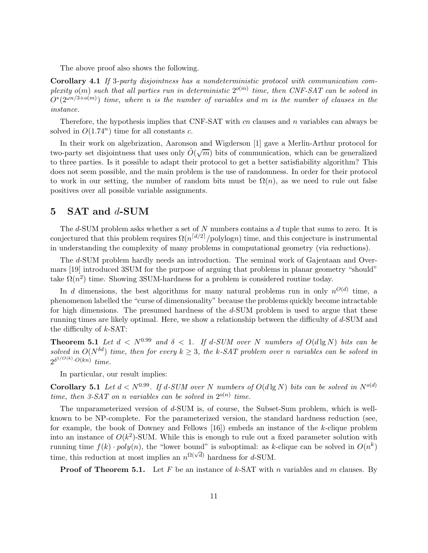The above proof also shows the following.

Corollary 4.1 If 3-party disjointness has a nondeterministic protocol with communication complexity  $o(m)$  such that all parties run in deterministic  $2^{o(m)}$  time, then CNF-SAT can be solved in  $O^*(2^{\omega n/3+o(m)})$  time, where n is the number of variables and m is the number of clauses in the instance.

Therefore, the hypothesis implies that CNF-SAT with cn clauses and n variables can always be solved in  $O(1.74^n)$  time for all constants c.

In their work on algebrization, Aaronson and Wigderson [1] gave a Merlin-Arthur protocol for two-party set disjointness that uses only  $\tilde{O}(\sqrt{m})$  bits of communication, which can be generalized to three parties. Is it possible to adapt their protocol to get a better satisfiability algorithm? This does not seem possible, and the main problem is the use of randomness. In order for their protocol to work in our setting, the number of random bits must be  $\Omega(n)$ , as we need to rule out false positives over all possible variable assignments.

## 5 SAT and d-SUM

The  $d$ -SUM problem asks whether a set of N numbers contains a  $d$  tuple that sums to zero. It is conjectured that this problem requires  $\Omega(n^{\lceil d/2 \rceil}/\text{polylog} n)$  time, and this conjecture is instrumental in understanding the complexity of many problems in computational geometry (via reductions).

The d-SUM problem hardly needs an introduction. The seminal work of Gajentaan and Overmars [19] introduced 3SUM for the purpose of arguing that problems in planar geometry "should" take  $\Omega(n^2)$  time. Showing 3SUM-hardness for a problem is considered routine today.

In d dimensions, the best algorithms for many natural problems run in only  $n^{O(d)}$  time, a phenomenon labelled the "curse of dimensionality" because the problems quickly become intractable for high dimensions. The presumed hardness of the d-SUM problem is used to argue that these running times are likely optimal. Here, we show a relationship between the difficulty of d-SUM and the difficulty of  $k$ -SAT:

**Theorem 5.1** Let  $d < N^{0.99}$  and  $\delta < 1$ . If d-SUM over N numbers of  $O(d \lg N)$  bits can be solved in  $O(N^{\delta d})$  time, then for every  $k > 3$ , the k-SAT problem over n variables can be solved in  $2^{\delta^{1/O(k)}\cdot O(kn)}$  time.

In particular, our result implies:

**Corollary 5.1** Let  $d < N^{0.99}$ . If d-SUM over N numbers of  $O(d \lg N)$  bits can be solved in  $N^{o(d)}$ time, then 3-SAT on n variables can be solved in  $2^{o(n)}$  time.

The unparameterized version of d-SUM is, of course, the Subset-Sum problem, which is wellknown to be NP-complete. For the parameterized version, the standard hardness reduction (see, for example, the book of Downey and Fellows  $[16]$  embeds an instance of the k-clique problem into an instance of  $O(k^2)$ -SUM. While this is enough to rule out a fixed parameter solution with running time  $f(k) \cdot poly(n)$ , the "lower bound" is suboptimal: as k-clique can be solved in  $O(n^k)$ time, this reduction at most implies an  $n^{\Omega(\sqrt{d})}$  hardness for d-SUM.

**Proof of Theorem 5.1.** Let F be an instance of k-SAT with n variables and m clauses. By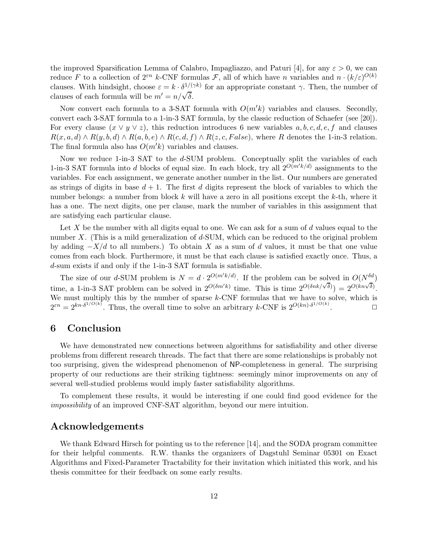the improved Sparsification Lemma of Calabro, Impagliazzo, and Paturi [4], for any  $\varepsilon > 0$ , we can reduce F to a collection of  $2^{\varepsilon n}$  k-CNF formulas F, all of which have n variables and  $n \cdot (k/\varepsilon)^{O(k)}$ clauses. With hindsight, choose  $\varepsilon = k \cdot \delta^{1/(\gamma k)}$  for an appropriate constant  $\gamma$ . Then, the number of clauses of each formula will be  $m' = n/\sqrt{\delta}$ .

Now convert each formula to a 3-SAT formula with  $O(m^{\prime}k)$  variables and clauses. Secondly, convert each 3-SAT formula to a 1-in-3 SAT formula, by the classic reduction of Schaefer (see [20]). For every clause  $(x \vee y \vee z)$ , this reduction introduces 6 new variables a, b, c, d, e, f and clauses  $R(x, a, d) \wedge R(y, b, d) \wedge R(a, b, e) \wedge R(c, d, f) \wedge R(z, c, False)$ , where R denotes the 1-in-3 relation. The final formula also has  $O(m'k)$  variables and clauses.

Now we reduce 1-in-3 SAT to the d-SUM problem. Conceptually split the variables of each 1-in-3 SAT formula into d blocks of equal size. In each block, try all  $2^{O(m'k/d)}$  assignments to the variables. For each assignment, we generate another number in the list. Our numbers are generated as strings of digits in base  $d+1$ . The first d digits represent the block of variables to which the number belongs: a number from block k will have a zero in all positions except the k-th, where it has a one. The next digits, one per clause, mark the number of variables in this assignment that are satisfying each particular clause.

Let  $X$  be the number with all digits equal to one. We can ask for a sum of  $d$  values equal to the number  $X$ . (This is a mild generalization of  $d$ -SUM, which can be reduced to the original problem by adding  $-X/d$  to all numbers.) To obtain X as a sum of d values, it must be that one value comes from each block. Furthermore, it must be that each clause is satisfied exactly once. Thus, a d-sum exists if and only if the 1-in-3 SAT formula is satisfiable.

The size of our d-SUM problem is  $N = d \cdot 2^{O(m'k/d)}$ . If the problem can be solved in  $O(N^{\delta d})$ time, a 1-in-3 SAT problem can be solved in  $2^{O(\delta m'k)}$  time. This is time  $2^{O(\delta nk/\sqrt{\delta})}$  =  $2^{O(kn\sqrt{\delta})}$ . We must multiply this by the number of sparse  $k$ -CNF formulas that we have to solve, which is  $2^{\varepsilon n} = 2^{kn \cdot \delta^{1/O(k)}}$ . Thus, the overall time to solve an arbitrary k-CNF is  $2^{O(kn) \cdot \delta^{1/O(k)}}$  $\Box$ 

### 6 Conclusion

We have demonstrated new connections between algorithms for satisfiability and other diverse problems from different research threads. The fact that there are some relationships is probably not too surprising, given the widespread phenomenon of NP-completeness in general. The surprising property of our reductions are their striking tightness: seemingly minor improvements on any of several well-studied problems would imply faster satisfiability algorithms.

To complement these results, it would be interesting if one could find good evidence for the impossibility of an improved CNF-SAT algorithm, beyond our mere intuition.

## Acknowledgements

We thank Edward Hirsch for pointing us to the reference [14], and the SODA program committee for their helpful comments. R.W. thanks the organizers of Dagstuhl Seminar 05301 on Exact Algorithms and Fixed-Parameter Tractability for their invitation which initiated this work, and his thesis committee for their feedback on some early results.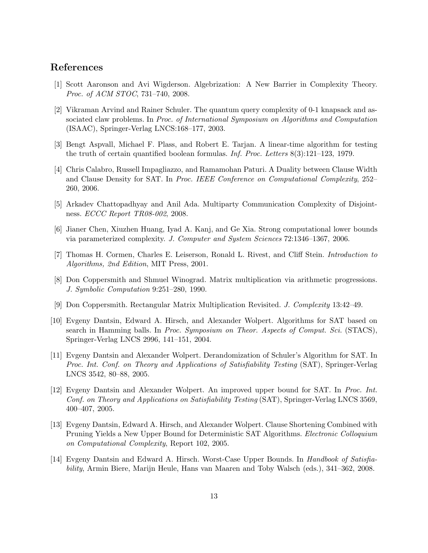## References

- [1] Scott Aaronson and Avi Wigderson. Algebrization: A New Barrier in Complexity Theory. Proc. of ACM STOC, 731–740, 2008.
- [2] Vikraman Arvind and Rainer Schuler. The quantum query complexity of 0-1 knapsack and associated claw problems. In Proc. of International Symposium on Algorithms and Computation (ISAAC), Springer-Verlag LNCS:168–177, 2003.
- [3] Bengt Aspvall, Michael F. Plass, and Robert E. Tarjan. A linear-time algorithm for testing the truth of certain quantified boolean formulas. Inf. Proc. Letters 8(3):121–123, 1979.
- [4] Chris Calabro, Russell Impagliazzo, and Ramamohan Paturi. A Duality between Clause Width and Clause Density for SAT. In Proc. IEEE Conference on Computational Complexity, 252– 260, 2006.
- [5] Arkadev Chattopadhyay and Anil Ada. Multiparty Communication Complexity of Disjointness. ECCC Report TR08-002, 2008.
- [6] Jianer Chen, Xiuzhen Huang, Iyad A. Kanj, and Ge Xia. Strong computational lower bounds via parameterized complexity. J. Computer and System Sciences 72:1346–1367, 2006.
- [7] Thomas H. Cormen, Charles E. Leiserson, Ronald L. Rivest, and Cliff Stein. Introduction to Algorithms, 2nd Edition, MIT Press, 2001.
- [8] Don Coppersmith and Shmuel Winograd. Matrix multiplication via arithmetic progressions. J. Symbolic Computation 9:251–280, 1990.
- [9] Don Coppersmith. Rectangular Matrix Multiplication Revisited. J. Complexity 13:42–49.
- [10] Evgeny Dantsin, Edward A. Hirsch, and Alexander Wolpert. Algorithms for SAT based on search in Hamming balls. In Proc. Symposium on Theor. Aspects of Comput. Sci. (STACS), Springer-Verlag LNCS 2996, 141–151, 2004.
- [11] Evgeny Dantsin and Alexander Wolpert. Derandomization of Schuler's Algorithm for SAT. In Proc. Int. Conf. on Theory and Applications of Satisfiability Testing (SAT), Springer-Verlag LNCS 3542, 80–88, 2005.
- [12] Evgeny Dantsin and Alexander Wolpert. An improved upper bound for SAT. In Proc. Int. Conf. on Theory and Applications on Satisfiability Testing (SAT), Springer-Verlag LNCS 3569, 400–407, 2005.
- [13] Evgeny Dantsin, Edward A. Hirsch, and Alexander Wolpert. Clause Shortening Combined with Pruning Yields a New Upper Bound for Deterministic SAT Algorithms. Electronic Colloquium on Computational Complexity, Report 102, 2005.
- [14] Evgeny Dantsin and Edward A. Hirsch. Worst-Case Upper Bounds. In *Handbook of Satisfia*bility, Armin Biere, Marijn Heule, Hans van Maaren and Toby Walsch (eds.), 341–362, 2008.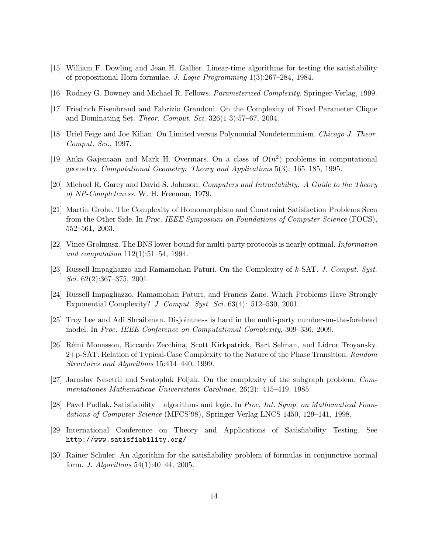- [15] William F. Dowling and Jean H. Gallier. Linear-time algorithms for testing the satisfiability of propositional Horn formulae. J. Logic Programming 1(3):267–284, 1984.
- [16] Rodney G. Downey and Michael R. Fellows. Parameterized Complexity. Springer-Verlag, 1999.
- [17] Friedrich Eisenbrand and Fabrizio Grandoni. On the Complexity of Fixed Parameter Clique and Dominating Set. Theor. Comput. Sci. 326(1-3):57–67, 2004.
- [18] Uriel Feige and Joe Kilian. On Limited versus Polynomial Nondeterminism. Chicago J. Theor. Comput. Sci., 1997.
- [19] Anka Gajentaan and Mark H. Overmars. On a class of  $O(n^2)$  problems in computational geometry. Computational Geometry: Theory and Applications 5(3): 165–185, 1995.
- [20] Michael R. Garey and David S. Johnson. Computers and Intractability: A Guide to the Theory of NP-Completeness. W. H. Freeman, 1979.
- [21] Martin Grohe. The Complexity of Homomorphism and Constraint Satisfaction Problems Seen from the Other Side. In Proc. IEEE Symposium on Foundations of Computer Science (FOCS), 552–561, 2003.
- [22] Vince Grolmusz. The BNS lower bound for multi-party protocols is nearly optimal. Information and computation 112(1):51–54, 1994.
- [23] Russell Impagliazzo and Ramamohan Paturi. On the Complexity of k-SAT. J. Comput. Syst. Sci.  $62(2):367-375$ ,  $2001$ .
- [24] Russell Impagliazzo, Ramamohan Paturi, and Francis Zane. Which Problems Have Strongly Exponential Complexity? J. Comput. Syst. Sci. 63(4): 512–530, 2001.
- [25] Troy Lee and Adi Shraibman. Disjointness is hard in the multi-party number-on-the-forehead model. In Proc. IEEE Conference on Computational Complexity, 309–336, 2009.
- [26] Rémi Monasson, Riccardo Zecchina, Scott Kirkpatrick, Bart Selman, and Lidror Troyansky. 2+p-SAT: Relation of Typical-Case Complexity to the Nature of the Phase Transition. Random Structures and Algorithms 15:414–440, 1999.
- [27] Jaroslav Nesetril and Svatopluk Poljak. On the complexity of the subgraph problem. Commentationes Mathematicae Universitatis Carolinae, 26(2): 415–419, 1985.
- [28] Pavel Pudlak. Satisfiability algorithms and logic. In Proc. Int. Symp. on Mathematical Foundations of Computer Science (MFCS'98), Springer-Verlag LNCS 1450, 129–141, 1998.
- [29] International Conference on Theory and Applications of Satisfiability Testing. See http://www.satisfiability.org/
- [30] Rainer Schuler. An algorithm for the satisfiability problem of formulas in conjunctive normal form. J. Algorithms 54(1):40–44, 2005.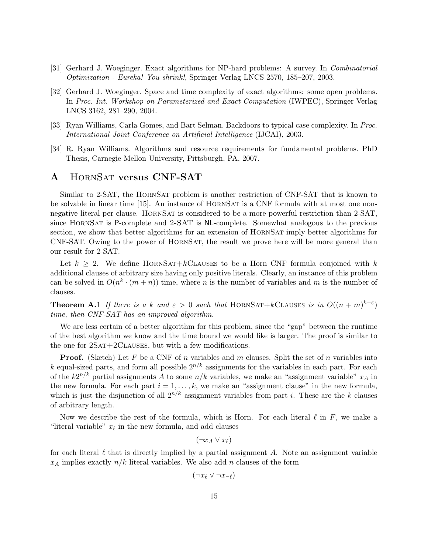- [31] Gerhard J. Woeginger. Exact algorithms for NP-hard problems: A survey. In Combinatorial Optimization - Eureka! You shrink!, Springer-Verlag LNCS 2570, 185–207, 2003.
- [32] Gerhard J. Woeginger. Space and time complexity of exact algorithms: some open problems. In Proc. Int. Workshop on Parameterized and Exact Computation (IWPEC), Springer-Verlag LNCS 3162, 281–290, 2004.
- [33] Ryan Williams, Carla Gomes, and Bart Selman. Backdoors to typical case complexity. In Proc. International Joint Conference on Artificial Intelligence (IJCAI), 2003.
- [34] R. Ryan Williams. Algorithms and resource requirements for fundamental problems. PhD Thesis, Carnegie Mellon University, Pittsburgh, PA, 2007.

## A HORNSAT versus CNF-SAT

Similar to 2-SAT, the HornSat problem is another restriction of CNF-SAT that is known to be solvable in linear time [15]. An instance of HORNSAT is a CNF formula with at most one nonnegative literal per clause. HORNSAT is considered to be a more powerful restriction than 2-SAT. since HornSat is P-complete and 2-SAT is NL-complete. Somewhat analogous to the previous section, we show that better algorithms for an extension of HORNSAT imply better algorithms for CNF-SAT. Owing to the power of HornSat, the result we prove here will be more general than our result for 2-SAT.

Let  $k \geq 2$ . We define HORNSAT+kCLAUSES to be a Horn CNF formula conjoined with k additional clauses of arbitrary size having only positive literals. Clearly, an instance of this problem can be solved in  $O(n^k \cdot (m+n))$  time, where *n* is the number of variables and *m* is the number of clauses.

**Theorem A.1** If there is a k and  $\varepsilon > 0$  such that HORNSAT+kCLAUSES is in  $O((n+m)^{k-\varepsilon})$ time, then CNF-SAT has an improved algorithm.

We are less certain of a better algorithm for this problem, since the "gap" between the runtime of the best algorithm we know and the time bound we would like is larger. The proof is similar to the one for  $2SAT+2CLAUSES$ , but with a few modifications.

**Proof.** (Sketch) Let F be a CNF of n variables and m clauses. Split the set of n variables into k equal-sized parts, and form all possible  $2^{n/k}$  assignments for the variables in each part. For each of the  $k2^{n/k}$  partial assignments A to some  $n/k$  variables, we make an "assignment variable"  $x_A$  in the new formula. For each part  $i = 1, \ldots, k$ , we make an "assignment clause" in the new formula, which is just the disjunction of all  $2^{n/k}$  assignment variables from part i. These are the k clauses of arbitrary length.

Now we describe the rest of the formula, which is Horn. For each literal  $\ell$  in F, we make a "literal variable"  $x_{\ell}$  in the new formula, and add clauses

 $(\neg x_A \lor x_\ell)$ 

for each literal  $\ell$  that is directly implied by a partial assignment A. Note an assignment variable  $x_A$  implies exactly  $n/k$  literal variables. We also add n clauses of the form

$$
(\neg x_\ell \lor \neg x_{\neg \ell})
$$